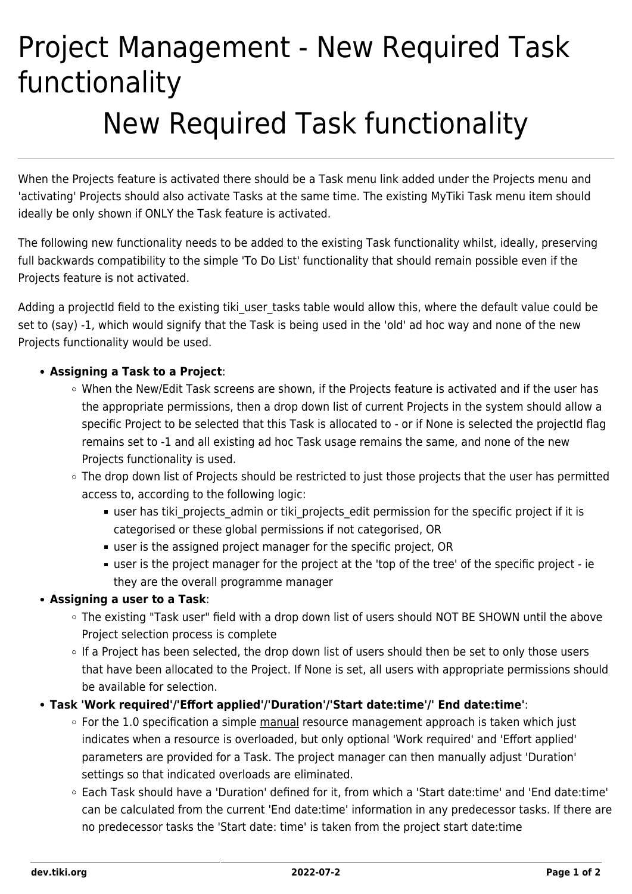# Project Management - New Required Task functionality New Required Task functionality

When the Projects feature is activated there should be a Task menu link added under the Projects menu and 'activating' Projects should also activate Tasks at the same time. The existing MyTiki Task menu item should ideally be only shown if ONLY the Task feature is activated.

The following new functionality needs to be added to the existing Task functionality whilst, ideally, preserving full backwards compatibility to the simple 'To Do List' functionality that should remain possible even if the Projects feature is not activated.

Adding a projectId field to the existing tiki user tasks table would allow this, where the default value could be set to (say) -1, which would signify that the Task is being used in the 'old' ad hoc way and none of the new Projects functionality would be used.

## **Assigning a Task to a Project**:

- When the New/Edit Task screens are shown, if the Projects feature is activated and if the user has the appropriate permissions, then a drop down list of current Projects in the system should allow a specific Project to be selected that this Task is allocated to - or if None is selected the projectId flag remains set to -1 and all existing ad hoc Task usage remains the same, and none of the new Projects functionality is used.
- The drop down list of Projects should be restricted to just those projects that the user has permitted access to, according to the following logic:
	- user has tiki projects admin or tiki projects edit permission for the specific project if it is categorised or these global permissions if not categorised, OR
	- user is the assigned project manager for the specific project, OR
	- user is the project manager for the project at the 'top of the tree' of the specific project ie they are the overall programme manager

## **Assigning a user to a Task**:

- The existing "Task user" field with a drop down list of users should NOT BE SHOWN until the above Project selection process is complete
- o If a Project has been selected, the drop down list of users should then be set to only those users that have been allocated to the Project. If None is set, all users with appropriate permissions should be available for selection.

## **Task 'Work required'/'Effort applied'/'Duration'/'Start date:time'/' End date:time'**:

- $\circ$  For the 1.0 specification a simple manual resource management approach is taken which just indicates when a resource is overloaded, but only optional 'Work required' and 'Effort applied' parameters are provided for a Task. The project manager can then manually adjust 'Duration' settings so that indicated overloads are eliminated.
- Each Task should have a 'Duration' defined for it, from which a 'Start date:time' and 'End date:time' can be calculated from the current 'End date:time' information in any predecessor tasks. If there are no predecessor tasks the 'Start date: time' is taken from the project start date:time